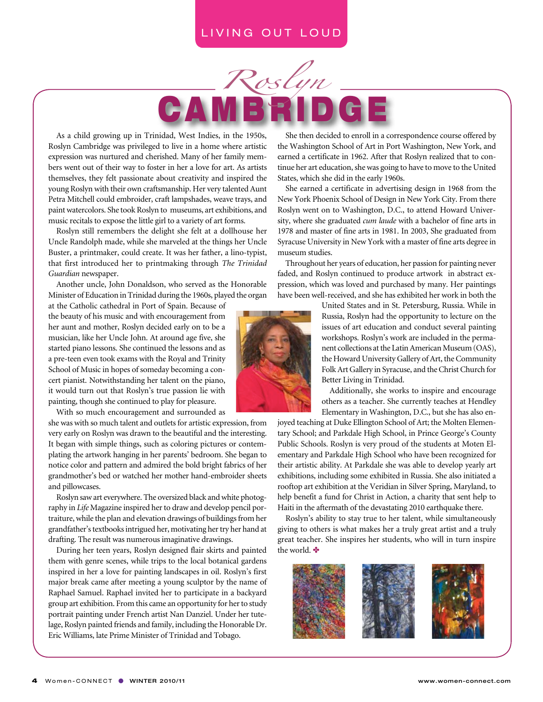#### LIVING OUT LOUD



As a child growing up in Trinidad, West Indies, in the 1950s, Roslyn Cambridge was privileged to live in a home where artistic expression was nurtured and cherished. Many of her family members went out of their way to foster in her a love for art. As artists themselves, they felt passionate about creativity and inspired the young Roslyn with their own craftsmanship. Her very talented Aunt Petra Mitchell could embroider, craft lampshades, weave trays, and paint watercolors. She took Roslyn to museums, art exhibitions, and music recitals to expose the little girl to a variety of art forms.

Roslyn still remembers the delight she felt at a dollhouse her Uncle Randolph made, while she marveled at the things her Uncle Buster, a printmaker, could create. It was her father, a lino-typist, that first introduced her to printmaking through *The Trinidad Guardian* newspaper.

Another uncle, John Donaldson, who served as the Honorable Minister of Education in Trinidad during the 1960s, played the organ

at the Catholic cathedral in Port of Spain. Because of the beauty of his music and with encouragement from her aunt and mother, Roslyn decided early on to be a musician, like her Uncle John. At around age five, she started piano lessons. She continued the lessons and as a pre-teen even took exams with the Royal and Trinity School of Music in hopes of someday becoming a concert pianist. Notwithstanding her talent on the piano, it would turn out that Roslyn's true passion lie with painting, though she continued to play for pleasure.

With so much encouragement and surrounded as

she was with so much talent and outlets for artistic expression, from very early on Roslyn was drawn to the beautiful and the interesting. It began with simple things, such as coloring pictures or contemplating the artwork hanging in her parents' bedroom. She began to notice color and pattern and admired the bold bright fabrics of her grandmother's bed or watched her mother hand-embroider sheets and pillowcases.

Roslyn saw art everywhere. The oversized black and white photography in *Life* Magazine inspired her to draw and develop pencil portraiture, while the plan and elevation drawings of buildings from her grandfather's textbooks intrigued her, motivating her try her hand at drafting. The result was numerous imaginative drawings.

During her teen years, Roslyn designed flair skirts and painted them with genre scenes, while trips to the local botanical gardens inspired in her a love for painting landscapes in oil. Roslyn's first major break came after meeting a young sculptor by the name of Raphael Samuel. Raphael invited her to participate in a backyard group art exhibition. From this came an opportunity for her to study portrait painting under French artist Nan Danziel. Under her tutelage, Roslyn painted friends and family, including the Honorable Dr. Eric Williams, late Prime Minister of Trinidad and Tobago.

She then decided to enroll in a correspondence course offered by the Washington School of Art in Port Washington, New York, and earned a certificate in 1962. After that Roslyn realized that to continue her art education, she was going to have to move to the United States, which she did in the early 1960s.

She earned a certificate in advertising design in 1968 from the New York Phoenix School of Design in New York City. From there Roslyn went on to Washington, D.C., to attend Howard University, where she graduated *cum laude* with a bachelor of fine arts in 1978 and master of fine arts in 1981. In 2003, She graduated from Syracuse University in New York with a master of fine arts degree in museum studies.

Throughout her years of education, her passion for painting never faded, and Roslyn continued to produce artwork in abstract expression, which was loved and purchased by many. Her paintings have been well-received, and she has exhibited her work in both the



Additionally, she works to inspire and encourage others as a teacher. She currently teaches at Hendley Elementary in Washington, D.C., but she has also en-

joyed teaching at Duke Ellington School of Art; the Molten Elementary School; and Parkdale High School, in Prince George's County Public Schools. Roslyn is very proud of the students at Moten Elementary and Parkdale High School who have been recognized for their artistic ability. At Parkdale she was able to develop yearly art exhibitions, including some exhibited in Russia. She also initiated a rooftop art exhibition at the Veridian in Silver Spring, Maryland, to help benefit a fund for Christ in Action, a charity that sent help to Haiti in the aftermath of the devastating 2010 earthquake there.

Roslyn's ability to stay true to her talent, while simultaneously giving to others is what makes her a truly great artist and a truly great teacher. She inspires her students, who will in turn inspire the world.  $\bullet$ 



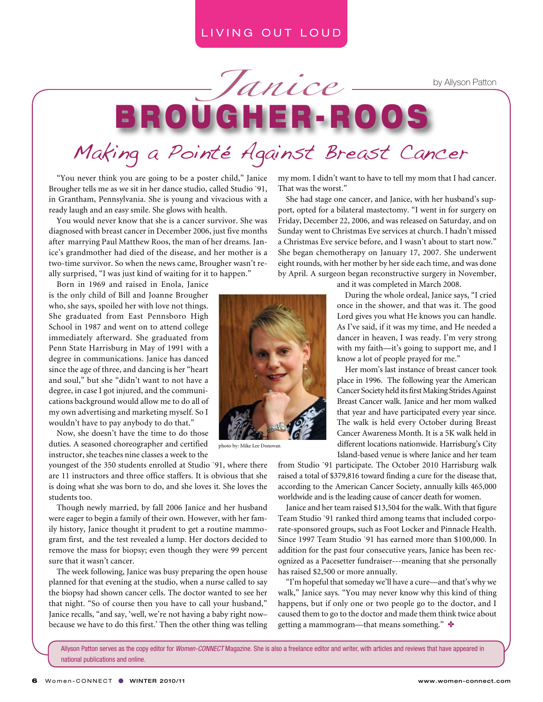### LIVING OUT LOUD

by Allyson Patton

# B ROUGHER-ROO! *Janice* Making a Pointé Against Breast Cancer

"You never think you are going to be a poster child," Janice Brougher tells me as we sit in her dance studio, called Studio `91, in Grantham, Pennsylvania. She is young and vivacious with a ready laugh and an easy smile. She glows with health.

You would never know that she is a cancer survivor. She was diagnosed with breast cancer in December 2006, just five months after marrying Paul Matthew Roos, the man of her dreams. Janice's grandmother had died of the disease, and her mother is a two-time survivor. So when the news came, Brougher wasn't really surprised, "I was just kind of waiting for it to happen."

Born in 1969 and raised in Enola, Janice is the only child of Bill and Joanne Brougher who, she says, spoiled her with love not things. She graduated from East Pennsboro High School in 1987 and went on to attend college immediately afterward. She graduated from Penn State Harrisburg in May of 1991 with a degree in communications. Janice has danced since the age of three, and dancing is her "heart and soul," but she "didn't want to not have a degree, in case I got injured, and the communications background would allow me to do all of my own advertising and marketing myself. So I wouldn't have to pay anybody to do that."

Now, she doesn't have the time to do those duties. A seasoned choreographer and certified instructor, she teaches nine classes a week to the

youngest of the 350 students enrolled at Studio `91, where there are 11 instructors and three office staffers. It is obvious that she is doing what she was born to do, and she loves it. She loves the students too.

Though newly married, by fall 2006 Janice and her husband were eager to begin a family of their own. However, with her family history, Janice thought it prudent to get a routine mammogram first, and the test revealed a lump. Her doctors decided to remove the mass for biopsy; even though they were 99 percent sure that it wasn't cancer.

The week following, Janice was busy preparing the open house planned for that evening at the studio, when a nurse called to say the biopsy had shown cancer cells. The doctor wanted to see her that night. "So of course then you have to call your husband," Janice recalls, "and say, 'well, we're not having a baby right now– because we have to do this first.' Then the other thing was telling my mom. I didn't want to have to tell my mom that I had cancer. That was the worst."

She had stage one cancer, and Janice, with her husband's support, opted for a bilateral mastectomy. "I went in for surgery on Friday, December 22, 2006, and was released on Saturday, and on Sunday went to Christmas Eve services at church. I hadn't missed a Christmas Eve service before, and I wasn't about to start now." She began chemotherapy on January 17, 2007. She underwent eight rounds, with her mother by her side each time, and was done by April. A surgeon began reconstructive surgery in November,



photo by: Mike Lee Donovan

and it was completed in March 2008.

During the whole ordeal, Janice says, "I cried once in the shower, and that was it. The good Lord gives you what He knows you can handle. As I've said, if it was my time, and He needed a dancer in heaven, I was ready. I'm very strong with my faith—it's going to support me, and I know a lot of people prayed for me."

Her mom's last instance of breast cancer took place in 1996. The following year the American Cancer Society held its first Making Strides Against Breast Cancer walk. Janice and her mom walked that year and have participated every year since. The walk is held every October during Breast Cancer Awareness Month. It is a 5K walk held in different locations nationwide. Harrisburg's City Island-based venue is where Janice and her team

from Studio `91 participate. The October 2010 Harrisburg walk raised a total of \$379,816 toward finding a cure for the disease that, according to the American Cancer Society, annually kills 465,000 worldwide and is the leading cause of cancer death for women.

Janice and her team raised \$13,504 for the walk. With that figure Team Studio `91 ranked third among teams that included corporate-sponsored groups, such as Foot Locker and Pinnacle Health. Since 1997 Team Studio `91 has earned more than \$100,000. In addition for the past four consecutive years, Janice has been recognized as a Pacesetter fundraiser---meaning that she personally has raised \$2,500 or more annually.

"I'm hopeful that someday we'll have a cure—and that's why we walk," Janice says. "You may never know why this kind of thing happens, but if only one or two people go to the doctor, and I caused them to go to the doctor and made them think twice about getting a mammogram—that means something."

Allyson Patton serves as the copy editor for *Women-CONNECT* Magazine. She is also a freelance editor and writer, with articles and reviews that have appeared in national publications and online.